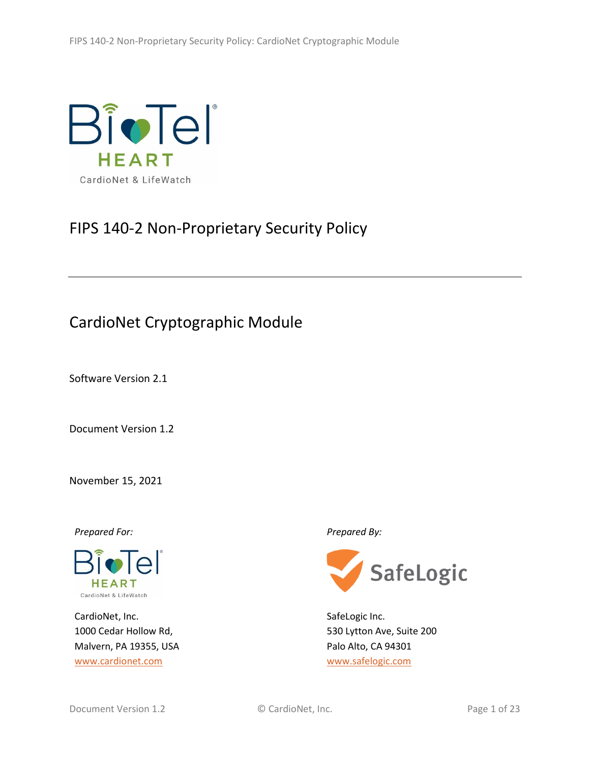

# FIPS 140-2 Non-Proprietary Security Policy

# CardioNet Cryptographic Module

Software Version 2.1

Document Version 1.2

November 15, 2021

*Prepared For: Prepared By:*



CardioNet, Inc. 1000 Cedar Hollow Rd, Malvern, PA 19355, USA [www.cardionet.com](http://www.cardionet.com/)



SafeLogic Inc. 530 Lytton Ave, Suite 200 Palo Alto, CA 94301 [www.safelogic.com](http://www.safelogic.com/)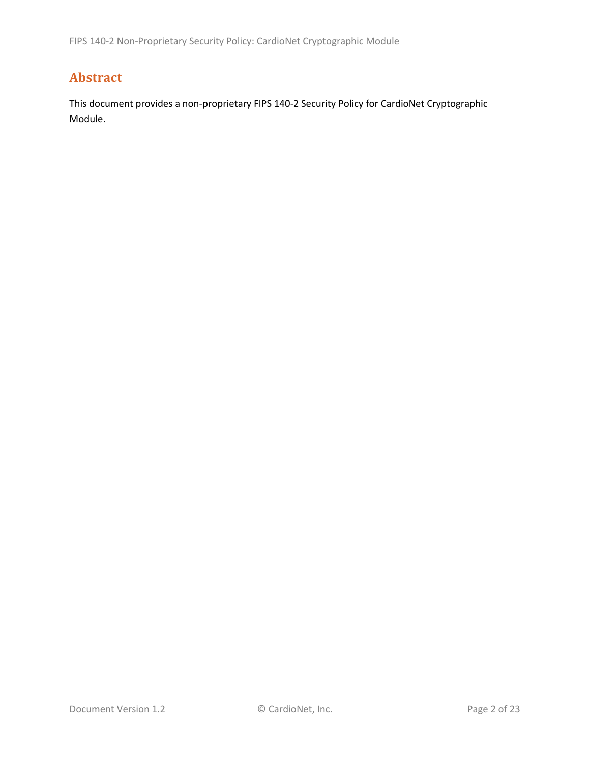## **Abstract**

This document provides a non-proprietary FIPS 140-2 Security Policy for CardioNet Cryptographic Module.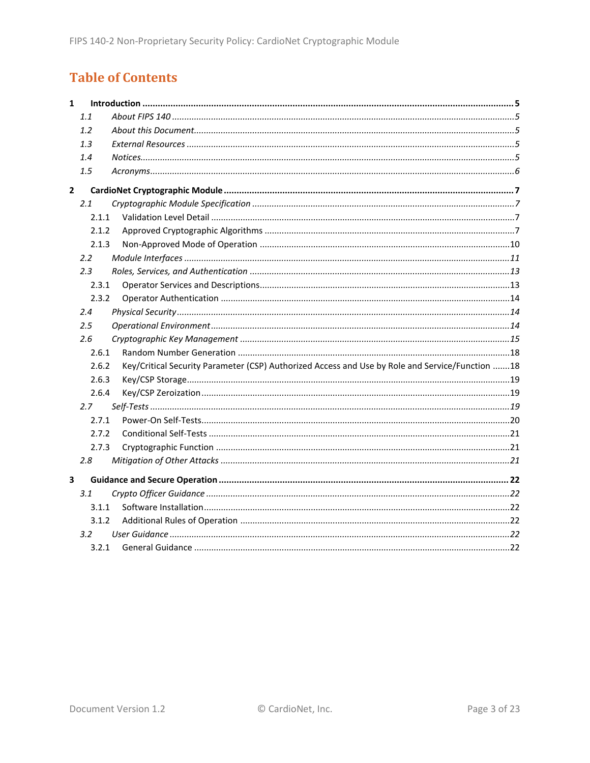## **Table of Contents**

| $\mathbf{1}$ |               |                                                                                                 |  |  |
|--------------|---------------|-------------------------------------------------------------------------------------------------|--|--|
|              | 1.1           |                                                                                                 |  |  |
|              | 1.2           |                                                                                                 |  |  |
|              | 1.3           |                                                                                                 |  |  |
|              | 1.4           |                                                                                                 |  |  |
|              | 1.5           |                                                                                                 |  |  |
| $\mathbf{2}$ |               |                                                                                                 |  |  |
|              | 2.1           |                                                                                                 |  |  |
|              | 2.1.1         |                                                                                                 |  |  |
|              | 2.1.2         |                                                                                                 |  |  |
|              | 2.1.3         |                                                                                                 |  |  |
|              | $2.2^{\circ}$ |                                                                                                 |  |  |
|              | 2.3           |                                                                                                 |  |  |
|              | 2.3.1         |                                                                                                 |  |  |
|              | 2.3.2         |                                                                                                 |  |  |
|              | 2.4           |                                                                                                 |  |  |
|              | $2.5\,$       |                                                                                                 |  |  |
|              | 2.6           |                                                                                                 |  |  |
|              | 2.6.1         |                                                                                                 |  |  |
|              | 2.6.2         | Key/Critical Security Parameter (CSP) Authorized Access and Use by Role and Service/Function 18 |  |  |
|              | 2.6.3         |                                                                                                 |  |  |
|              | 2.6.4         |                                                                                                 |  |  |
|              | 2.7           |                                                                                                 |  |  |
|              | 2.7.1         |                                                                                                 |  |  |
|              | 2.7.2         |                                                                                                 |  |  |
|              | 2.7.3         |                                                                                                 |  |  |
|              | 2.8           |                                                                                                 |  |  |
| 3            |               |                                                                                                 |  |  |
|              | 3.1           |                                                                                                 |  |  |
|              | 3.1.1         |                                                                                                 |  |  |
|              | 3.1.2         |                                                                                                 |  |  |
|              | 3.2           |                                                                                                 |  |  |
|              | 3.2.1         |                                                                                                 |  |  |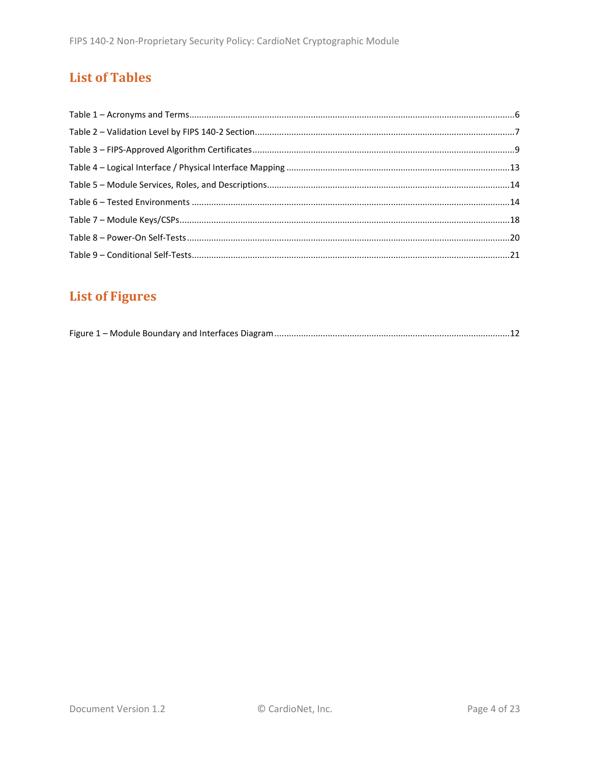## **List of Tables**

## **List of Figures**

|--|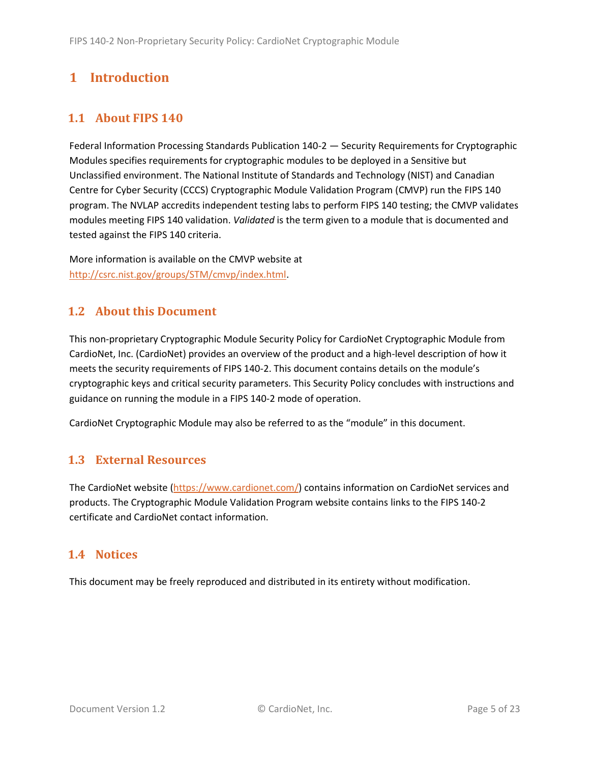## <span id="page-4-0"></span>**1 Introduction**

## <span id="page-4-1"></span>**1.1 About FIPS 140**

Federal Information Processing Standards Publication 140-2 — Security Requirements for Cryptographic Modules specifies requirements for cryptographic modules to be deployed in a Sensitive but Unclassified environment. The National Institute of Standards and Technology (NIST) and Canadian Centre for Cyber Security (CCCS) Cryptographic Module Validation Program (CMVP) run the FIPS 140 program. The NVLAP accredits independent testing labs to perform FIPS 140 testing; the CMVP validates modules meeting FIPS 140 validation. *Validated* is the term given to a module that is documented and tested against the FIPS 140 criteria.

More information is available on the CMVP website at [http://csrc.nist.gov/groups/STM/cmvp/index.html.](http://csrc.nist.gov/groups/STM/cmvp/index.html)

### <span id="page-4-2"></span>**1.2 About this Document**

This non-proprietary Cryptographic Module Security Policy for CardioNet Cryptographic Module from CardioNet, Inc. (CardioNet) provides an overview of the product and a high-level description of how it meets the security requirements of FIPS 140-2. This document contains details on the module's cryptographic keys and critical security parameters. This Security Policy concludes with instructions and guidance on running the module in a FIPS 140-2 mode of operation.

CardioNet Cryptographic Module may also be referred to as the "module" in this document.

### <span id="page-4-3"></span>**1.3 External Resources**

The CardioNet website [\(https://www.cardionet.com/\)](https://www.cardionet.com/) contains information on CardioNet services and products. The Cryptographic Module Validation Program website contains links to the FIPS 140-2 certificate and CardioNet contact information.

### <span id="page-4-4"></span>**1.4 Notices**

This document may be freely reproduced and distributed in its entirety without modification.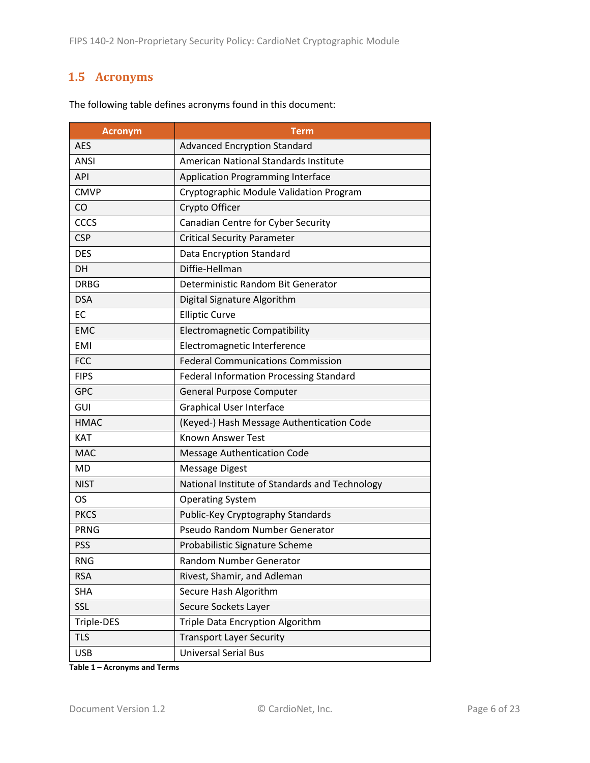### <span id="page-5-0"></span>**1.5 Acronyms**

| <b>Acronym</b>                                 | Term                                           |  |
|------------------------------------------------|------------------------------------------------|--|
| <b>AES</b>                                     | <b>Advanced Encryption Standard</b>            |  |
| <b>ANSI</b>                                    | <b>American National Standards Institute</b>   |  |
| <b>API</b>                                     | <b>Application Programming Interface</b>       |  |
| <b>CMVP</b>                                    | Cryptographic Module Validation Program        |  |
| CO                                             | Crypto Officer                                 |  |
| CCCS                                           | Canadian Centre for Cyber Security             |  |
| <b>CSP</b>                                     | <b>Critical Security Parameter</b>             |  |
| <b>DES</b>                                     | Data Encryption Standard                       |  |
| <b>DH</b>                                      | Diffie-Hellman                                 |  |
| <b>DRBG</b>                                    | Deterministic Random Bit Generator             |  |
| <b>DSA</b>                                     | Digital Signature Algorithm                    |  |
| <b>EC</b>                                      | <b>Elliptic Curve</b>                          |  |
| <b>EMC</b>                                     | <b>Electromagnetic Compatibility</b>           |  |
| <b>EMI</b>                                     | Electromagnetic Interference                   |  |
| <b>FCC</b>                                     | <b>Federal Communications Commission</b>       |  |
| <b>FIPS</b>                                    | <b>Federal Information Processing Standard</b> |  |
| <b>GPC</b>                                     | General Purpose Computer                       |  |
| GUI                                            | <b>Graphical User Interface</b>                |  |
| <b>HMAC</b>                                    | (Keyed-) Hash Message Authentication Code      |  |
| <b>KAT</b>                                     | <b>Known Answer Test</b>                       |  |
| <b>MAC</b>                                     | <b>Message Authentication Code</b>             |  |
| <b>MD</b>                                      | <b>Message Digest</b>                          |  |
| <b>NIST</b>                                    | National Institute of Standards and Technology |  |
| <b>OS</b>                                      | <b>Operating System</b>                        |  |
| <b>PKCS</b>                                    | Public-Key Cryptography Standards              |  |
| <b>PRNG</b>                                    | Pseudo Random Number Generator                 |  |
| <b>PSS</b>                                     | Probabilistic Signature Scheme                 |  |
| <b>RNG</b>                                     | Random Number Generator                        |  |
| <b>RSA</b>                                     | Rivest, Shamir, and Adleman                    |  |
| <b>SHA</b>                                     | Secure Hash Algorithm                          |  |
| SSL                                            | Secure Sockets Layer                           |  |
| Triple Data Encryption Algorithm<br>Triple-DES |                                                |  |
| <b>TLS</b>                                     | <b>Transport Layer Security</b>                |  |
| <b>USB</b>                                     | <b>Universal Serial Bus</b>                    |  |

The following table defines acronyms found in this document:

**Table 1 – Acronyms and Terms**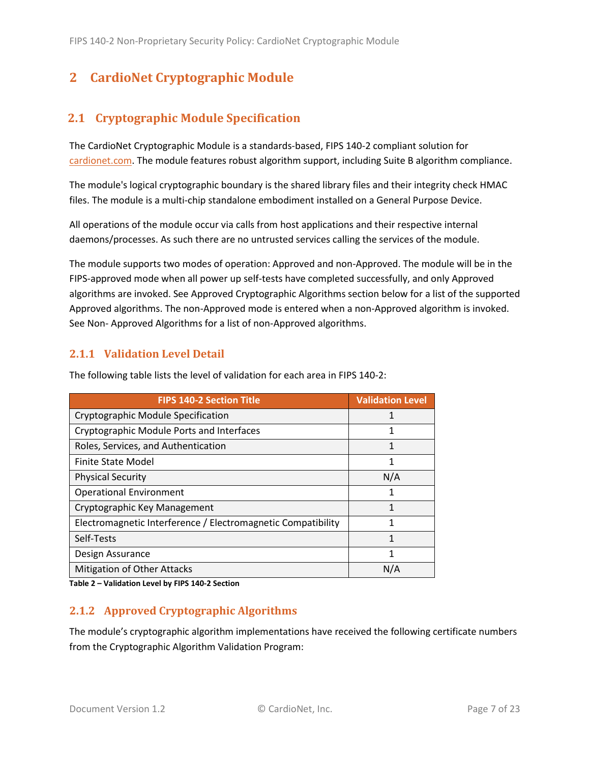## <span id="page-6-0"></span>**2 CardioNet Cryptographic Module**

## <span id="page-6-1"></span>**2.1 Cryptographic Module Specification**

The CardioNet Cryptographic Module is a standards-based, FIPS 140-2 compliant solution for [cardionet.com.](https://access.cardionet.com/) The module features robust algorithm support, including Suite B algorithm compliance.

The module's logical cryptographic boundary is the shared library files and their integrity check HMAC files. The module is a multi-chip standalone embodiment installed on a General Purpose Device.

All operations of the module occur via calls from host applications and their respective internal daemons/processes. As such there are no untrusted services calling the services of the module.

The module supports two modes of operation: Approved and non-Approved. The module will be in the FIPS-approved mode when all power up self-tests have completed successfully, and only Approved algorithms are invoked. See Approved Cryptographic Algorithms section below for a list of the supported Approved algorithms. The non-Approved mode is entered when a non-Approved algorithm is invoked. See Non- Approved Algorithms for a list of non-Approved algorithms.

#### <span id="page-6-2"></span>**2.1.1 Validation Level Detail**

| <b>FIPS 140-2 Section Title</b>                              | <b>Validation Level</b> |
|--------------------------------------------------------------|-------------------------|
| Cryptographic Module Specification                           | 1                       |
| Cryptographic Module Ports and Interfaces                    |                         |
| Roles, Services, and Authentication                          | 1                       |
| <b>Finite State Model</b>                                    |                         |
| <b>Physical Security</b>                                     | N/A                     |
| <b>Operational Environment</b>                               | 1                       |
| Cryptographic Key Management                                 | 1                       |
| Electromagnetic Interference / Electromagnetic Compatibility | 1                       |
| Self-Tests                                                   | 1                       |
| Design Assurance                                             |                         |
| <b>Mitigation of Other Attacks</b>                           | N/A                     |

The following table lists the level of validation for each area in FIPS 140-2:

**Table 2 – Validation Level by FIPS 140-2 Section**

#### <span id="page-6-3"></span>**2.1.2 Approved Cryptographic Algorithms**

The module's cryptographic algorithm implementations have received the following certificate numbers from the Cryptographic Algorithm Validation Program: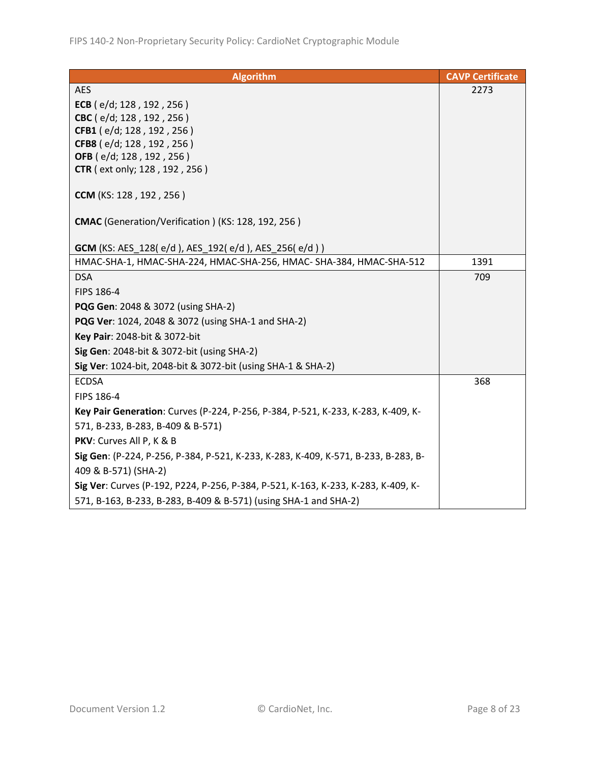| <b>Algorithm</b>                                                                   | <b>CAVP Certificate</b> |
|------------------------------------------------------------------------------------|-------------------------|
| <b>AES</b>                                                                         | 2273                    |
| ECB (e/d; 128, 192, 256)                                                           |                         |
| CBC (e/d; 128, 192, 256)                                                           |                         |
| CFB1 (e/d; 128, 192, 256)                                                          |                         |
| CFB8 (e/d; 128, 192, 256)                                                          |                         |
| OFB (e/d; 128, 192, 256)                                                           |                         |
| <b>CTR</b> (ext only; 128, 192, 256)                                               |                         |
| CCM (KS: 128, 192, 256)                                                            |                         |
| CMAC (Generation/Verification) (KS: 128, 192, 256)                                 |                         |
| <b>GCM</b> (KS: AES_128(e/d), AES_192(e/d), AES_256(e/d))                          |                         |
| HMAC-SHA-1, HMAC-SHA-224, HMAC-SHA-256, HMAC- SHA-384, HMAC-SHA-512                | 1391                    |
| <b>DSA</b>                                                                         | 709                     |
| FIPS 186-4                                                                         |                         |
| <b>PQG Gen: 2048 &amp; 3072 (using SHA-2)</b>                                      |                         |
| <b>PQG Ver:</b> 1024, 2048 & 3072 (using SHA-1 and SHA-2)                          |                         |
| Key Pair: 2048-bit & 3072-bit                                                      |                         |
| Sig Gen: 2048-bit & 3072-bit (using SHA-2)                                         |                         |
| Sig Ver: 1024-bit, 2048-bit & 3072-bit (using SHA-1 & SHA-2)                       |                         |
| <b>ECDSA</b>                                                                       | 368                     |
| FIPS 186-4                                                                         |                         |
| Key Pair Generation: Curves (P-224, P-256, P-384, P-521, K-233, K-283, K-409, K-   |                         |
| 571, B-233, B-283, B-409 & B-571)                                                  |                         |
| PKV: Curves All P, K & B                                                           |                         |
| Sig Gen: (P-224, P-256, P-384, P-521, K-233, K-283, K-409, K-571, B-233, B-283, B- |                         |
| 409 & B-571) (SHA-2)                                                               |                         |
| Sig Ver: Curves (P-192, P224, P-256, P-384, P-521, K-163, K-233, K-283, K-409, K-  |                         |
| 571, B-163, B-233, B-283, B-409 & B-571) (using SHA-1 and SHA-2)                   |                         |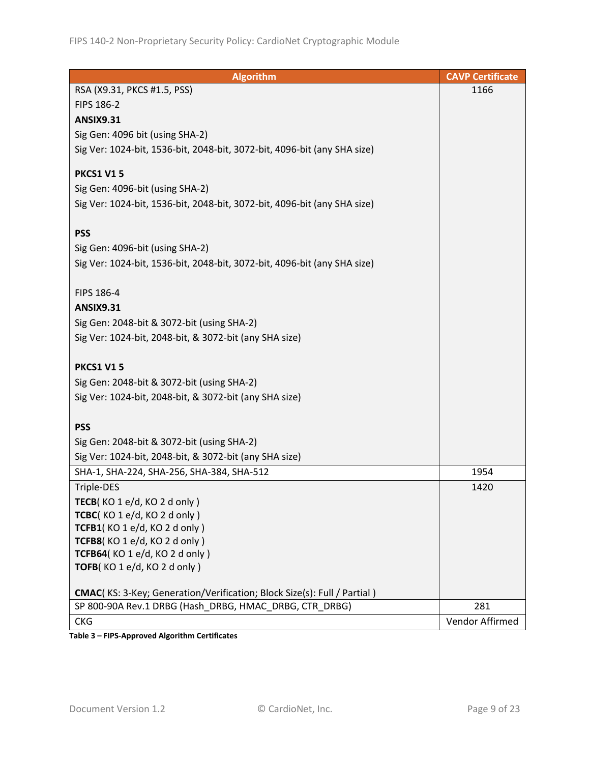| <b>Algorithm</b>                                                                | <b>CAVP Certificate</b> |
|---------------------------------------------------------------------------------|-------------------------|
| RSA (X9.31, PKCS #1.5, PSS)                                                     | 1166                    |
| FIPS 186-2                                                                      |                         |
| <b>ANSIX9.31</b>                                                                |                         |
| Sig Gen: 4096 bit (using SHA-2)                                                 |                         |
| Sig Ver: 1024-bit, 1536-bit, 2048-bit, 3072-bit, 4096-bit (any SHA size)        |                         |
|                                                                                 |                         |
| <b>PKCS1 V15</b>                                                                |                         |
| Sig Gen: 4096-bit (using SHA-2)                                                 |                         |
| Sig Ver: 1024-bit, 1536-bit, 2048-bit, 3072-bit, 4096-bit (any SHA size)        |                         |
|                                                                                 |                         |
| <b>PSS</b>                                                                      |                         |
| Sig Gen: 4096-bit (using SHA-2)                                                 |                         |
| Sig Ver: 1024-bit, 1536-bit, 2048-bit, 3072-bit, 4096-bit (any SHA size)        |                         |
|                                                                                 |                         |
| FIPS 186-4                                                                      |                         |
| <b>ANSIX9.31</b>                                                                |                         |
| Sig Gen: 2048-bit & 3072-bit (using SHA-2)                                      |                         |
| Sig Ver: 1024-bit, 2048-bit, & 3072-bit (any SHA size)                          |                         |
| <b>PKCS1 V15</b>                                                                |                         |
|                                                                                 |                         |
| Sig Gen: 2048-bit & 3072-bit (using SHA-2)                                      |                         |
| Sig Ver: 1024-bit, 2048-bit, & 3072-bit (any SHA size)                          |                         |
| <b>PSS</b>                                                                      |                         |
| Sig Gen: 2048-bit & 3072-bit (using SHA-2)                                      |                         |
| Sig Ver: 1024-bit, 2048-bit, & 3072-bit (any SHA size)                          |                         |
| SHA-1, SHA-224, SHA-256, SHA-384, SHA-512                                       | 1954                    |
| Triple-DES                                                                      | 1420                    |
| TECB(KO 1 e/d, KO 2 d only)                                                     |                         |
| TCBC(KO 1 e/d, KO 2 d only)                                                     |                         |
| TCFB1(KO 1 e/d, KO 2 d only)                                                    |                         |
| TCFB8(KO 1 e/d, KO 2 d only)                                                    |                         |
| TCFB64(KO 1 e/d, KO 2 d only)                                                   |                         |
| TOFB(KO1e/d, KO2d only)                                                         |                         |
|                                                                                 |                         |
| <b>CMAC</b> (KS: 3-Key; Generation/Verification; Block Size(s): Full / Partial) |                         |
| SP 800-90A Rev.1 DRBG (Hash DRBG, HMAC DRBG, CTR DRBG)                          | 281                     |
| <b>CKG</b>                                                                      | Vendor Affirmed         |

**Table 3 – FIPS-Approved Algorithm Certificates**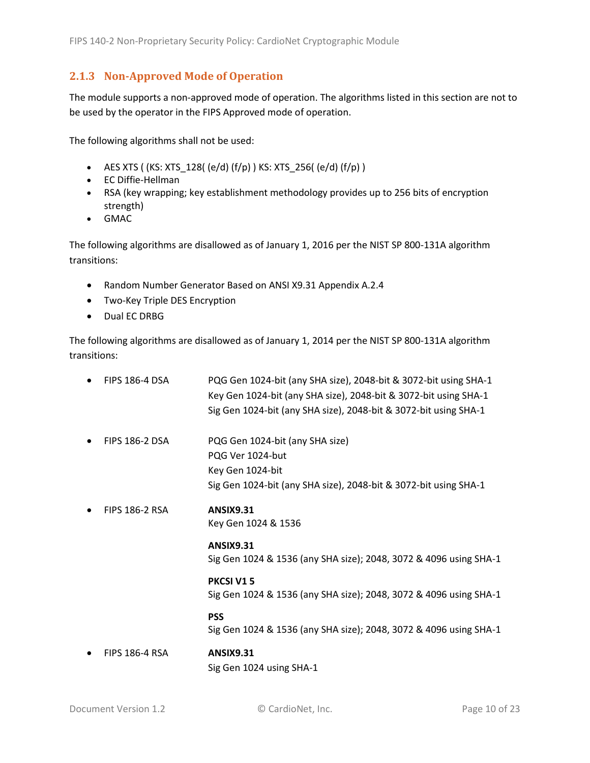#### <span id="page-9-0"></span>**2.1.3 Non-Approved Mode of Operation**

The module supports a non-approved mode of operation. The algorithms listed in this section are not to be used by the operator in the FIPS Approved mode of operation.

The following algorithms shall not be used:

- AES XTS (  $(KS: XTS_128$  (  $(e/d)$   $(f/p)$  )  $KS: XTS_256$  (  $(e/d)$   $(f/p)$  )
- EC Diffie-Hellman
- RSA (key wrapping; key establishment methodology provides up to 256 bits of encryption strength)
- GMAC

The following algorithms are disallowed as of January 1, 2016 per the NIST SP 800-131A algorithm transitions:

- Random Number Generator Based on ANSI X9.31 Appendix A.2.4
- Two-Key Triple DES Encryption
- Dual EC DRBG

The following algorithms are disallowed as of January 1, 2014 per the NIST SP 800-131A algorithm transitions:

| <b>FIPS 186-4 DSA</b> | PQG Gen 1024-bit (any SHA size), 2048-bit & 3072-bit using SHA-1<br>Key Gen 1024-bit (any SHA size), 2048-bit & 3072-bit using SHA-1<br>Sig Gen 1024-bit (any SHA size), 2048-bit & 3072-bit using SHA-1 |
|-----------------------|----------------------------------------------------------------------------------------------------------------------------------------------------------------------------------------------------------|
| <b>FIPS 186-2 DSA</b> | PQG Gen 1024-bit (any SHA size)<br>PQG Ver 1024-but<br>Key Gen 1024-bit<br>Sig Gen 1024-bit (any SHA size), 2048-bit & 3072-bit using SHA-1                                                              |
| <b>FIPS 186-2 RSA</b> | <b>ANSIX9.31</b><br>Key Gen 1024 & 1536                                                                                                                                                                  |
|                       | <b>ANSIX9.31</b><br>Sig Gen 1024 & 1536 (any SHA size); 2048, 3072 & 4096 using SHA-1                                                                                                                    |
|                       | PKCSI V15<br>Sig Gen 1024 & 1536 (any SHA size); 2048, 3072 & 4096 using SHA-1                                                                                                                           |
|                       | <b>PSS</b><br>Sig Gen 1024 & 1536 (any SHA size); 2048, 3072 & 4096 using SHA-1                                                                                                                          |
| <b>FIPS 186-4 RSA</b> | <b>ANSIX9.31</b><br>Sig Gen 1024 using SHA-1                                                                                                                                                             |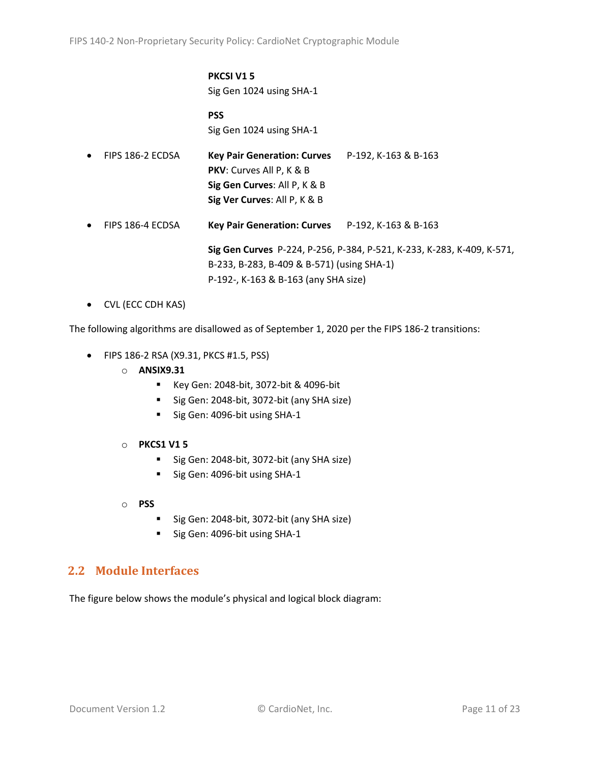#### **PKCSI V1 5** Sig Gen 1024 using SHA-1

**PSS** Sig Gen 1024 using SHA-1

| $\bullet$ | FIPS 186-2 ECDSA | Key Pair Generation: Curves P-192, K-163 & B-163<br><b>PKV:</b> Curves All P, K & B<br>Sig Gen Curves: All P, K & B<br>Sig Ver Curves: All P, K & B |                                                                        |
|-----------|------------------|-----------------------------------------------------------------------------------------------------------------------------------------------------|------------------------------------------------------------------------|
| $\bullet$ | FIPS 186-4 ECDSA | Key Pair Generation: Curves P-192, K-163 & B-163                                                                                                    |                                                                        |
|           |                  | B-233, B-283, B-409 & B-571) (using SHA-1)                                                                                                          | Sig Gen Curves P-224, P-256, P-384, P-521, K-233, K-283, K-409, K-571, |

P-192-, K-163 & B-163 (any SHA size)

• CVL (ECC CDH KAS)

The following algorithms are disallowed as of September 1, 2020 per the FIPS 186-2 transitions:

- FIPS 186-2 RSA (X9.31, PKCS #1.5, PSS)
	- o **ANSIX9.31**
		- Key Gen: 2048-bit, 3072-bit & 4096-bit
		- Sig Gen: 2048-bit, 3072-bit (any SHA size)
		- Sig Gen: 4096-bit using SHA-1
	- o **PKCS1 V1 5**
		- Sig Gen: 2048-bit, 3072-bit (any SHA size)
		- Sig Gen: 4096-bit using SHA-1
	- o **PSS**
		- Sig Gen: 2048-bit, 3072-bit (any SHA size)
		- Sig Gen: 4096-bit using SHA-1

### <span id="page-10-0"></span>**2.2 Module Interfaces**

The figure below shows the module's physical and logical block diagram: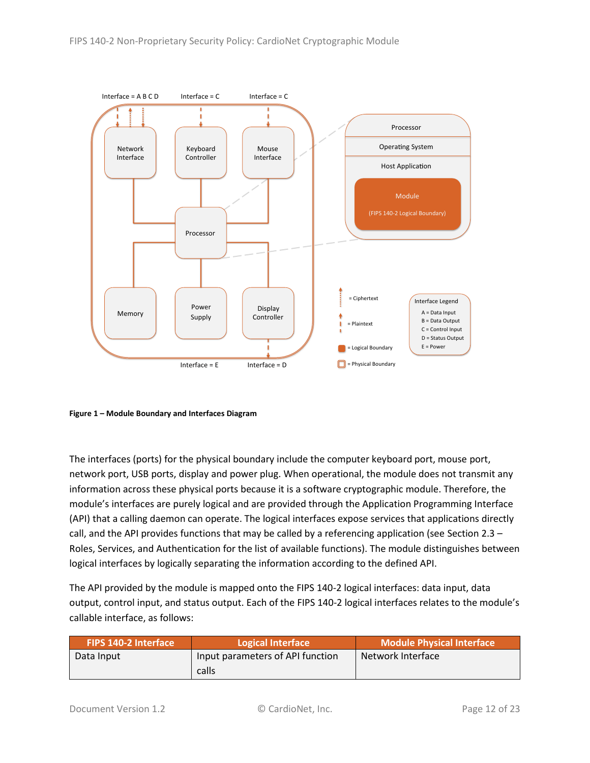

<span id="page-11-0"></span>**Figure 1 – Module Boundary and Interfaces Diagram**

The interfaces (ports) for the physical boundary include the computer keyboard port, mouse port, network port, USB ports, display and power plug. When operational, the module does not transmit any information across these physical ports because it is a software cryptographic module. Therefore, the module's interfaces are purely logical and are provided through the Application Programming Interface (API) that a calling daemon can operate. The logical interfaces expose services that applications directly call, and the API provides functions that may be called by a referencing application (see Sectio[n 2.3](#page-12-0) – [Roles, Services, and Authentication](#page-12-0) for the list of available functions). The module distinguishes between logical interfaces by logically separating the information according to the defined API.

The API provided by the module is mapped onto the FIPS 140-2 logical interfaces: data input, data output, control input, and status output. Each of the FIPS 140-2 logical interfaces relates to the module's callable interface, as follows:

| <b>FIPS 140-2 Interface</b> | Logical Interface                | Module Physical Interface |
|-----------------------------|----------------------------------|---------------------------|
| Data Input                  | Input parameters of API function | Network Interface         |
|                             | calls                            |                           |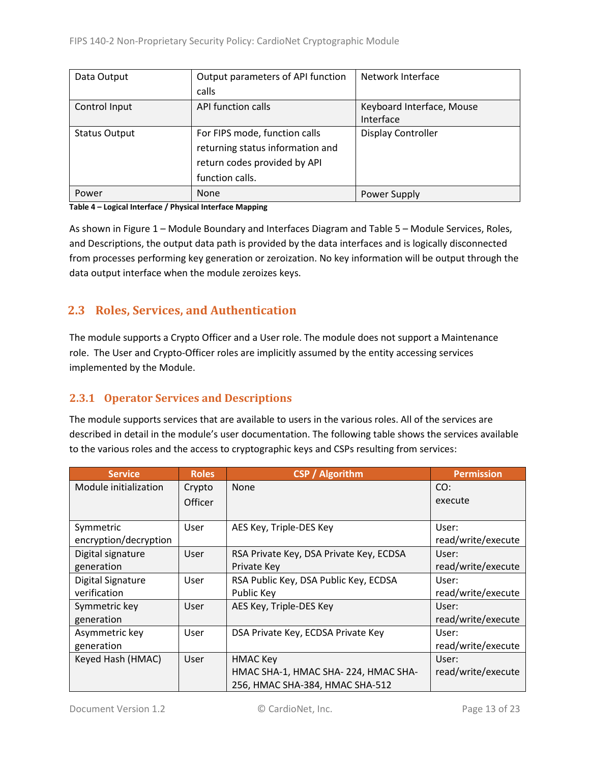| Data Output          | Output parameters of API function | Network Interface         |  |
|----------------------|-----------------------------------|---------------------------|--|
|                      | calls                             |                           |  |
| Control Input        | API function calls                | Keyboard Interface, Mouse |  |
|                      |                                   | Interface                 |  |
| <b>Status Output</b> | For FIPS mode, function calls     | <b>Display Controller</b> |  |
|                      | returning status information and  |                           |  |
|                      | return codes provided by API      |                           |  |
|                      | function calls.                   |                           |  |
| Power                | <b>None</b>                       | Power Supply              |  |

#### **Table 4 – Logical Interface / Physical Interface Mapping**

As shown in Figure 1 – [Module Boundary and Interfaces Diagram](#page-11-0) and Table 5 – Module [Services, Roles,](#page-13-3) [and Descriptions,](#page-13-3) the output data path is provided by the data interfaces and is logically disconnected from processes performing key generation or zeroization. No key information will be output through the data output interface when the module zeroizes keys.

### <span id="page-12-0"></span>**2.3 Roles, Services, and Authentication**

The module supports a Crypto Officer and a User role. The module does not support a Maintenance role. The User and Crypto-Officer roles are implicitly assumed by the entity accessing services implemented by the Module.

#### <span id="page-12-1"></span>**2.3.1 Operator Services and Descriptions**

The module supports services that are available to users in the various roles. All of the services are described in detail in the module's user documentation. The following table shows the services available to the various roles and the access to cryptographic keys and CSPs resulting from services:

| <b>Service</b>        | <b>Roles</b>   | <b>CSP</b> / Algorithm                  | <b>Permission</b>  |
|-----------------------|----------------|-----------------------------------------|--------------------|
| Module initialization | Crypto         | None                                    | CO:                |
|                       | <b>Officer</b> |                                         | execute            |
|                       |                |                                         |                    |
| Symmetric             | User           | AES Key, Triple-DES Key                 | User:              |
| encryption/decryption |                |                                         | read/write/execute |
| Digital signature     | User           | RSA Private Key, DSA Private Key, ECDSA | User:              |
| generation            |                | Private Key                             | read/write/execute |
| Digital Signature     | User           | RSA Public Key, DSA Public Key, ECDSA   | User:              |
| verification          |                | Public Key                              | read/write/execute |
| Symmetric key         | User           | AES Key, Triple-DES Key                 | User:              |
| generation            |                |                                         | read/write/execute |
| Asymmetric key        | User           | DSA Private Key, ECDSA Private Key      | User:              |
| generation            |                |                                         | read/write/execute |
| Keyed Hash (HMAC)     | User           | <b>HMAC Key</b>                         | User:              |
|                       |                | HMAC SHA-1, HMAC SHA-224, HMAC SHA-     | read/write/execute |
|                       |                | 256, HMAC SHA-384, HMAC SHA-512         |                    |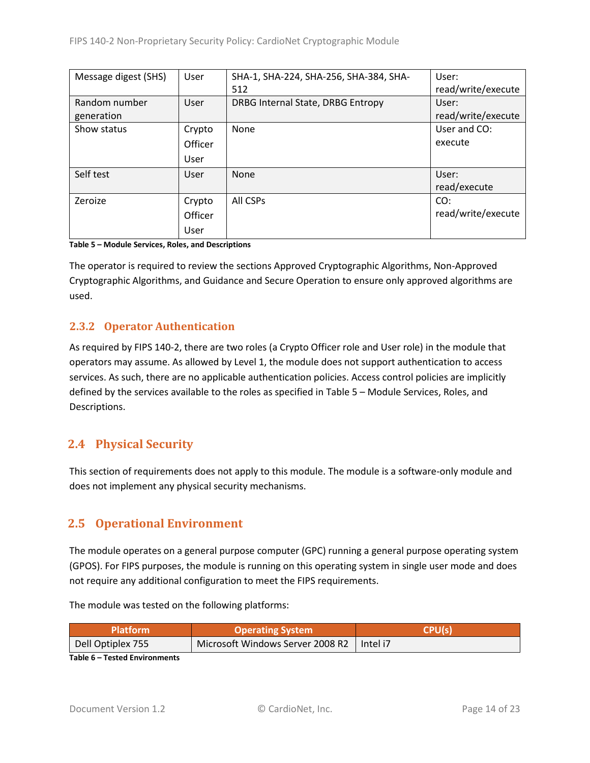| Message digest (SHS) | User    | SHA-1, SHA-224, SHA-256, SHA-384, SHA- | User:              |
|----------------------|---------|----------------------------------------|--------------------|
|                      |         | 512                                    | read/write/execute |
| Random number        | User    | DRBG Internal State, DRBG Entropy      | User:              |
| generation           |         |                                        | read/write/execute |
| Show status          | Crypto  | None                                   | User and CO:       |
|                      | Officer |                                        | execute            |
|                      | User    |                                        |                    |
| Self test            | User    | None                                   | User:              |
|                      |         |                                        | read/execute       |
| Zeroize              | Crypto  | All CSPs                               | CO:                |
|                      | Officer |                                        | read/write/execute |
|                      | User    |                                        |                    |

<span id="page-13-3"></span>**Table 5 – Module Services, Roles, and Descriptions**

The operator is required to review the sections Approved Cryptographic Algorithms, Non-Approved Cryptographic Algorithms, and Guidance and Secure Operation to ensure only approved algorithms are used.

#### <span id="page-13-0"></span>**2.3.2 Operator Authentication**

As required by FIPS 140-2, there are two roles (a Crypto Officer role and User role) in the module that operators may assume. As allowed by Level 1, the module does not support authentication to access services. As such, there are no applicable authentication policies. Access control policies are implicitly defined by the services available to the roles as specified in Table 5 – Module [Services, Roles,](#page-13-3) and [Descriptions.](#page-13-3)

## <span id="page-13-1"></span>**2.4 Physical Security**

This section of requirements does not apply to this module. The module is a software-only module and does not implement any physical security mechanisms.

## <span id="page-13-2"></span>**2.5 Operational Environment**

The module operates on a general purpose computer (GPC) running a general purpose operating system (GPOS). For FIPS purposes, the module is running on this operating system in single user mode and does not require any additional configuration to meet the FIPS requirements.

The module was tested on the following platforms:

| <b>Platform</b>   | <b>Operating System</b>                     | <b>CPU(s</b> |
|-------------------|---------------------------------------------|--------------|
| Dell Optiplex 755 | Microsoft Windows Server 2008 R2   Intel i7 |              |
| _  _ _ _          |                                             |              |

**Table 6 – Tested Environments**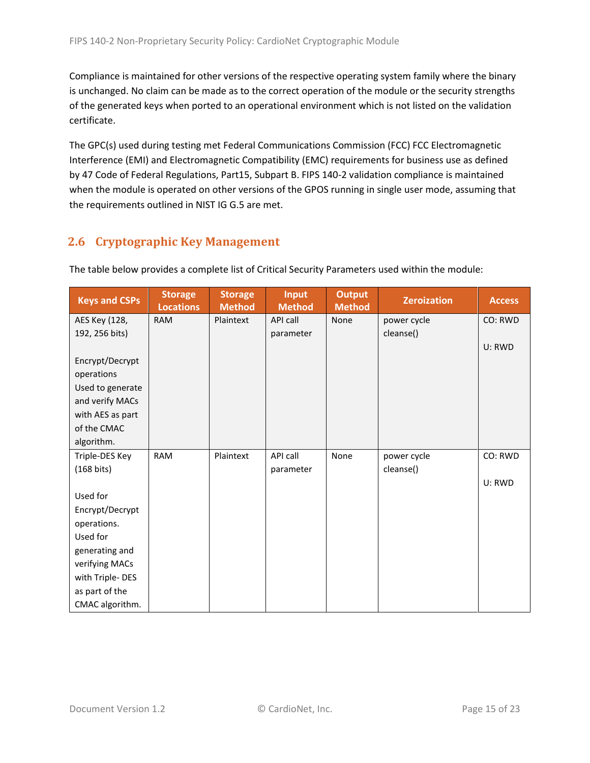Compliance is maintained for other versions of the respective operating system family where the binary is unchanged. No claim can be made as to the correct operation of the module or the security strengths of the generated keys when ported to an operational environment which is not listed on the validation certificate.

The GPC(s) used during testing met Federal Communications Commission (FCC) FCC Electromagnetic Interference (EMI) and Electromagnetic Compatibility (EMC) requirements for business use as defined by 47 Code of Federal Regulations, Part15, Subpart B. FIPS 140-2 validation compliance is maintained when the module is operated on other versions of the GPOS running in single user mode, assuming that the requirements outlined in NIST IG G.5 are met.

## <span id="page-14-0"></span>**2.6 Cryptographic Key Management**

| <b>Keys and CSPs</b> | <b>Storage</b><br><b>Locations</b> | <b>Storage</b><br><b>Method</b> | <b>Input</b><br><b>Method</b> | <b>Output</b><br><b>Method</b> | <b>Zeroization</b> | <b>Access</b> |
|----------------------|------------------------------------|---------------------------------|-------------------------------|--------------------------------|--------------------|---------------|
| AES Key (128,        | <b>RAM</b>                         | Plaintext                       | API call                      | None                           | power cycle        | CO: RWD       |
| 192, 256 bits)       |                                    |                                 | parameter                     |                                | cleanse()          |               |
|                      |                                    |                                 |                               |                                |                    | U: RWD        |
| Encrypt/Decrypt      |                                    |                                 |                               |                                |                    |               |
| operations           |                                    |                                 |                               |                                |                    |               |
| Used to generate     |                                    |                                 |                               |                                |                    |               |
| and verify MACs      |                                    |                                 |                               |                                |                    |               |
| with AES as part     |                                    |                                 |                               |                                |                    |               |
| of the CMAC          |                                    |                                 |                               |                                |                    |               |
| algorithm.           |                                    |                                 |                               |                                |                    |               |
| Triple-DES Key       | <b>RAM</b>                         | Plaintext                       | API call                      | None                           | power cycle        | CO: RWD       |
| $(168 \text{ bits})$ |                                    |                                 | parameter                     |                                | cleanse()          |               |
|                      |                                    |                                 |                               |                                |                    | U: RWD        |
| Used for             |                                    |                                 |                               |                                |                    |               |
| Encrypt/Decrypt      |                                    |                                 |                               |                                |                    |               |
| operations.          |                                    |                                 |                               |                                |                    |               |
| Used for             |                                    |                                 |                               |                                |                    |               |
| generating and       |                                    |                                 |                               |                                |                    |               |
| verifying MACs       |                                    |                                 |                               |                                |                    |               |
| with Triple-DES      |                                    |                                 |                               |                                |                    |               |
| as part of the       |                                    |                                 |                               |                                |                    |               |
| CMAC algorithm.      |                                    |                                 |                               |                                |                    |               |

The table below provides a complete list of Critical Security Parameters used within the module: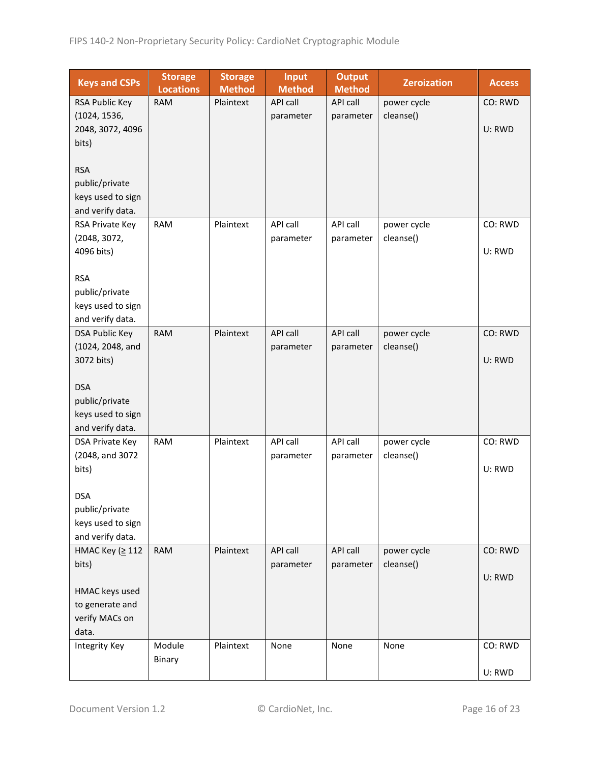| <b>Keys and CSPs</b>                  | <b>Storage</b><br><b>Locations</b> | <b>Storage</b><br><b>Method</b> | <b>Input</b><br><b>Method</b> | <b>Output</b><br><b>Method</b> | <b>Zeroization</b> | <b>Access</b> |
|---------------------------------------|------------------------------------|---------------------------------|-------------------------------|--------------------------------|--------------------|---------------|
| RSA Public Key                        | <b>RAM</b>                         | Plaintext                       | API call                      | API call                       | power cycle        | CO: RWD       |
| (1024, 1536,                          |                                    |                                 | parameter                     | parameter                      | cleanse()          |               |
| 2048, 3072, 4096                      |                                    |                                 |                               |                                |                    | U: RWD        |
| bits)                                 |                                    |                                 |                               |                                |                    |               |
|                                       |                                    |                                 |                               |                                |                    |               |
| <b>RSA</b>                            |                                    |                                 |                               |                                |                    |               |
| public/private                        |                                    |                                 |                               |                                |                    |               |
| keys used to sign                     |                                    |                                 |                               |                                |                    |               |
| and verify data.                      |                                    |                                 |                               |                                |                    |               |
| RSA Private Key                       | <b>RAM</b>                         | Plaintext                       | API call                      | API call                       | power cycle        | CO: RWD       |
| (2048, 3072,                          |                                    |                                 | parameter                     | parameter                      | cleanse()          |               |
| 4096 bits)                            |                                    |                                 |                               |                                |                    | U: RWD        |
|                                       |                                    |                                 |                               |                                |                    |               |
| <b>RSA</b>                            |                                    |                                 |                               |                                |                    |               |
| public/private<br>keys used to sign   |                                    |                                 |                               |                                |                    |               |
| and verify data.                      |                                    |                                 |                               |                                |                    |               |
| <b>DSA Public Key</b>                 | <b>RAM</b>                         | Plaintext                       | <b>API call</b>               | API call                       | power cycle        | CO: RWD       |
| (1024, 2048, and                      |                                    |                                 | parameter                     | parameter                      | cleanse()          |               |
| 3072 bits)                            |                                    |                                 |                               |                                |                    | U: RWD        |
|                                       |                                    |                                 |                               |                                |                    |               |
| <b>DSA</b>                            |                                    |                                 |                               |                                |                    |               |
| public/private                        |                                    |                                 |                               |                                |                    |               |
| keys used to sign                     |                                    |                                 |                               |                                |                    |               |
| and verify data.                      |                                    |                                 |                               |                                |                    |               |
| DSA Private Key                       | <b>RAM</b>                         | Plaintext                       | API call                      | API call                       | power cycle        | CO: RWD       |
| (2048, and 3072                       |                                    |                                 | parameter                     | parameter                      | cleanse()          |               |
| bits)                                 |                                    |                                 |                               |                                |                    | U: RWD        |
|                                       |                                    |                                 |                               |                                |                    |               |
| <b>DSA</b>                            |                                    |                                 |                               |                                |                    |               |
| public/private                        |                                    |                                 |                               |                                |                    |               |
| keys used to sign<br>and verify data. |                                    |                                 |                               |                                |                    |               |
| НМАС Кеу (≥ 112                       | <b>RAM</b>                         | Plaintext                       | API call                      | API call                       | power cycle        | CO: RWD       |
| bits)                                 |                                    |                                 | parameter                     | parameter                      | cleanse()          |               |
|                                       |                                    |                                 |                               |                                |                    | U: RWD        |
| HMAC keys used                        |                                    |                                 |                               |                                |                    |               |
| to generate and                       |                                    |                                 |                               |                                |                    |               |
| verify MACs on                        |                                    |                                 |                               |                                |                    |               |
| data.                                 |                                    |                                 |                               |                                |                    |               |
| <b>Integrity Key</b>                  | Module                             | Plaintext                       | None                          | None                           | None               | CO: RWD       |
|                                       | Binary                             |                                 |                               |                                |                    |               |
|                                       |                                    |                                 |                               |                                |                    | U: RWD        |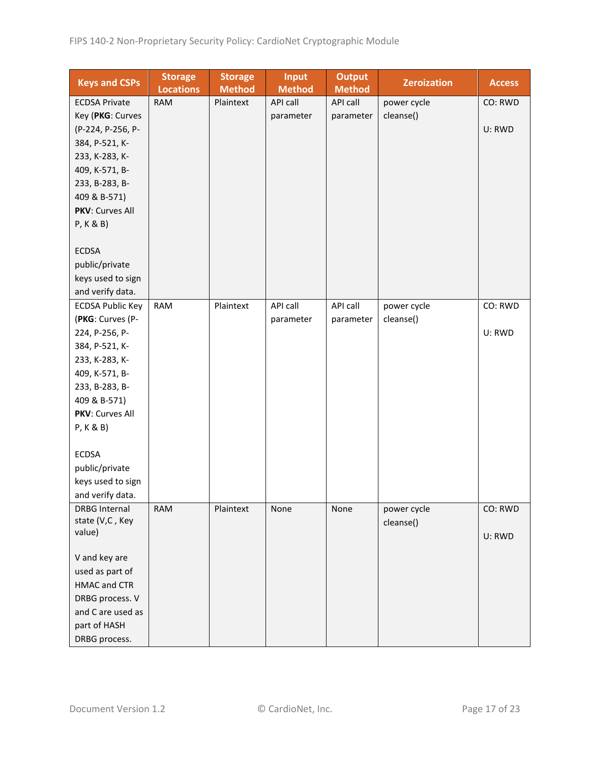| <b>Keys and CSPs</b>    | <b>Storage</b><br><b>Locations</b> | <b>Storage</b><br><b>Method</b> | <b>Input</b><br><b>Method</b> | <b>Output</b><br><b>Method</b> | <b>Zeroization</b> | <b>Access</b> |
|-------------------------|------------------------------------|---------------------------------|-------------------------------|--------------------------------|--------------------|---------------|
| <b>ECDSA Private</b>    | <b>RAM</b>                         | Plaintext                       | API call                      | API call                       | power cycle        | CO: RWD       |
| Key (PKG: Curves        |                                    |                                 | parameter                     | parameter                      | cleanse()          |               |
| (P-224, P-256, P-       |                                    |                                 |                               |                                |                    | U: RWD        |
| 384, P-521, K-          |                                    |                                 |                               |                                |                    |               |
| 233, K-283, K-          |                                    |                                 |                               |                                |                    |               |
| 409, K-571, B-          |                                    |                                 |                               |                                |                    |               |
| 233, B-283, B-          |                                    |                                 |                               |                                |                    |               |
| 409 & B-571)            |                                    |                                 |                               |                                |                    |               |
| PKV: Curves All         |                                    |                                 |                               |                                |                    |               |
| P, K & B)               |                                    |                                 |                               |                                |                    |               |
|                         |                                    |                                 |                               |                                |                    |               |
| <b>ECDSA</b>            |                                    |                                 |                               |                                |                    |               |
| public/private          |                                    |                                 |                               |                                |                    |               |
| keys used to sign       |                                    |                                 |                               |                                |                    |               |
| and verify data.        |                                    |                                 |                               |                                |                    |               |
| <b>ECDSA Public Key</b> | <b>RAM</b>                         | Plaintext                       | API call                      | API call                       | power cycle        | CO: RWD       |
| (PKG: Curves (P-        |                                    |                                 | parameter                     | parameter                      | cleanse()          |               |
| 224, P-256, P-          |                                    |                                 |                               |                                |                    | U: RWD        |
| 384, P-521, K-          |                                    |                                 |                               |                                |                    |               |
| 233, K-283, K-          |                                    |                                 |                               |                                |                    |               |
| 409, K-571, B-          |                                    |                                 |                               |                                |                    |               |
| 233, B-283, B-          |                                    |                                 |                               |                                |                    |               |
| 409 & B-571)            |                                    |                                 |                               |                                |                    |               |
| PKV: Curves All         |                                    |                                 |                               |                                |                    |               |
| P, K & B)               |                                    |                                 |                               |                                |                    |               |
|                         |                                    |                                 |                               |                                |                    |               |
| <b>ECDSA</b>            |                                    |                                 |                               |                                |                    |               |
| public/private          |                                    |                                 |                               |                                |                    |               |
| keys used to sign       |                                    |                                 |                               |                                |                    |               |
| and verify data.        |                                    |                                 |                               |                                |                    |               |
| <b>DRBG Internal</b>    | <b>RAM</b>                         | Plaintext                       | None                          | None                           | power cycle        | CO: RWD       |
| state (V,C, Key         |                                    |                                 |                               |                                | cleanse()          |               |
| value)                  |                                    |                                 |                               |                                |                    | U: RWD        |
|                         |                                    |                                 |                               |                                |                    |               |
| V and key are           |                                    |                                 |                               |                                |                    |               |
| used as part of         |                                    |                                 |                               |                                |                    |               |
| <b>HMAC and CTR</b>     |                                    |                                 |                               |                                |                    |               |
| DRBG process. V         |                                    |                                 |                               |                                |                    |               |
| and C are used as       |                                    |                                 |                               |                                |                    |               |
| part of HASH            |                                    |                                 |                               |                                |                    |               |
| DRBG process.           |                                    |                                 |                               |                                |                    |               |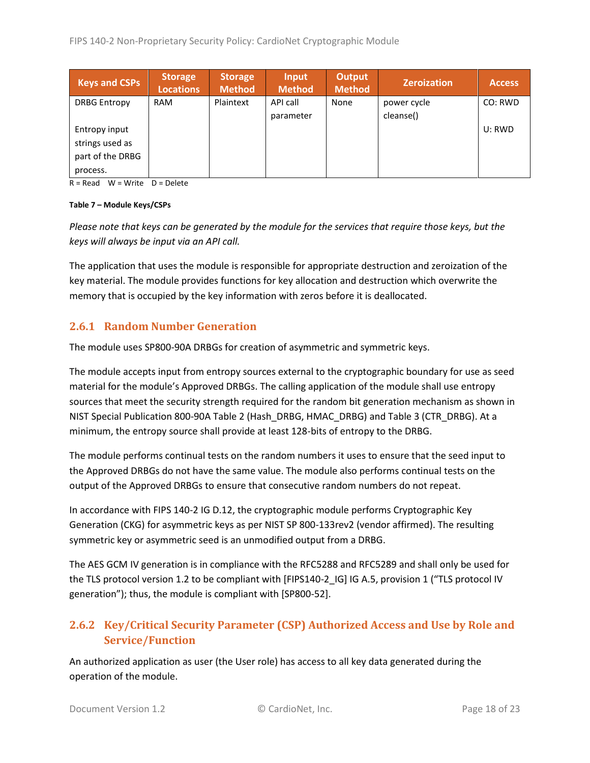| <b>Keys and CSPs</b> | <b>Storage</b><br><b>Locations</b> | <b>Storage</b><br>Method | Input<br><b>Method</b> | <b>Output</b><br><b>Method</b> | <b>Zeroization</b> | <b>Access</b> |
|----------------------|------------------------------------|--------------------------|------------------------|--------------------------------|--------------------|---------------|
| <b>DRBG Entropy</b>  | <b>RAM</b>                         | Plaintext                | API call               | None                           | power cycle        | CO: RWD       |
|                      |                                    |                          | parameter              |                                | cleanse()          |               |
| Entropy input        |                                    |                          |                        |                                |                    | U: RWD        |
| strings used as      |                                    |                          |                        |                                |                    |               |
| part of the DRBG     |                                    |                          |                        |                                |                    |               |
| process.             |                                    |                          |                        |                                |                    |               |

 $R = Read$  W = Write D = Delete

#### **Table 7 – Module Keys/CSPs**

*Please note that keys can be generated by the module for the services that require those keys, but the keys will always be input via an API call.*

The application that uses the module is responsible for appropriate destruction and zeroization of the key material. The module provides functions for key allocation and destruction which overwrite the memory that is occupied by the key information with zeros before it is deallocated.

#### <span id="page-17-0"></span>**2.6.1 Random Number Generation**

The module uses SP800-90A DRBGs for creation of asymmetric and symmetric keys.

The module accepts input from entropy sources external to the cryptographic boundary for use as seed material for the module's Approved DRBGs. The calling application of the module shall use entropy sources that meet the security strength required for the random bit generation mechanism as shown in NIST Special Publication 800-90A Table 2 (Hash\_DRBG, HMAC\_DRBG) and Table 3 (CTR\_DRBG). At a minimum, the entropy source shall provide at least 128-bits of entropy to the DRBG.

The module performs continual tests on the random numbers it uses to ensure that the seed input to the Approved DRBGs do not have the same value. The module also performs continual tests on the output of the Approved DRBGs to ensure that consecutive random numbers do not repeat.

In accordance with FIPS 140-2 IG D.12, the cryptographic module performs Cryptographic Key Generation (CKG) for asymmetric keys as per NIST SP 800-133rev2 (vendor affirmed). The resulting symmetric key or asymmetric seed is an unmodified output from a DRBG.

The AES GCM IV generation is in compliance with the RFC5288 and RFC5289 and shall only be used for the TLS protocol version 1.2 to be compliant with [FIPS140-2\_IG] IG A.5, provision 1 ("TLS protocol IV generation"); thus, the module is compliant with [SP800-52].

### <span id="page-17-1"></span>**2.6.2 Key/Critical Security Parameter (CSP) Authorized Access and Use by Role and Service/Function**

An authorized application as user (the User role) has access to all key data generated during the operation of the module.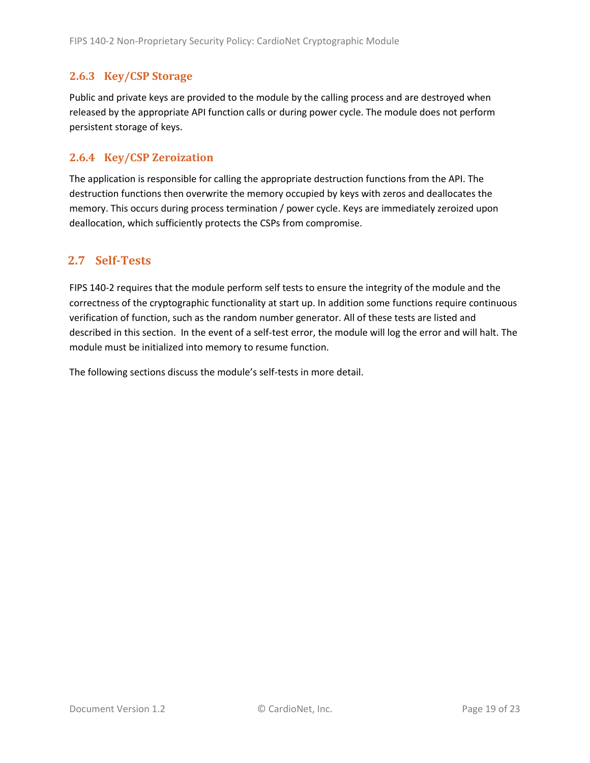#### <span id="page-18-0"></span>**2.6.3 Key/CSP Storage**

Public and private keys are provided to the module by the calling process and are destroyed when released by the appropriate API function calls or during power cycle. The module does not perform persistent storage of keys.

#### <span id="page-18-1"></span>**2.6.4 Key/CSP Zeroization**

The application is responsible for calling the appropriate destruction functions from the API. The destruction functions then overwrite the memory occupied by keys with zeros and deallocates the memory. This occurs during process termination / power cycle. Keys are immediately zeroized upon deallocation, which sufficiently protects the CSPs from compromise.

### <span id="page-18-2"></span>**2.7 Self-Tests**

FIPS 140-2 requires that the module perform self tests to ensure the integrity of the module and the correctness of the cryptographic functionality at start up. In addition some functions require continuous verification of function, such as the random number generator. All of these tests are listed and described in this section. In the event of a self-test error, the module will log the error and will halt. The module must be initialized into memory to resume function.

The following sections discuss the module's self-tests in more detail.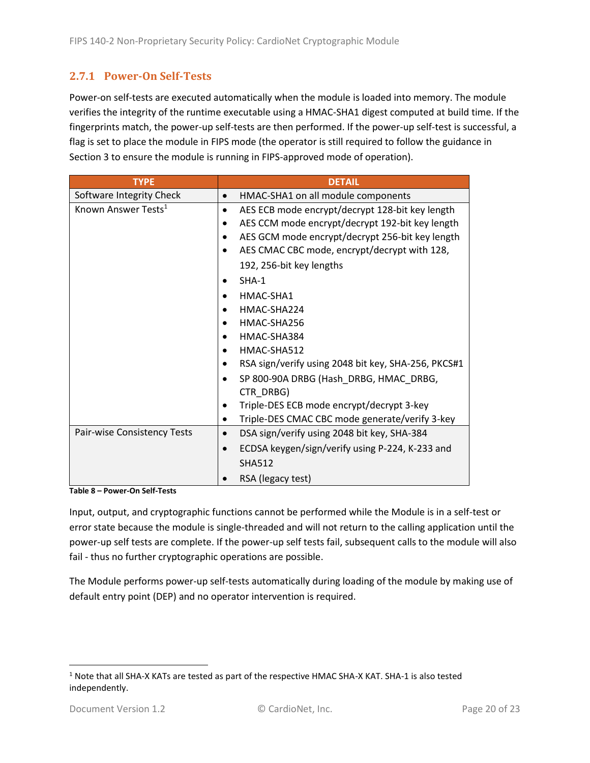### <span id="page-19-0"></span>**2.7.1 Power-On Self-Tests**

Power-on self-tests are executed automatically when the module is loaded into memory. The module verifies the integrity of the runtime executable using a HMAC-SHA1 digest computed at build time. If the fingerprints match, the power-up self-tests are then performed. If the power-up self-test is successful, a flag is set to place the module in FIPS mode (the operator is still required to follow the guidance in Section 3 to ensure the module is running in FIPS-approved mode of operation).

| <b>TYPE</b>                     | <b>DETAIL</b>                                            |
|---------------------------------|----------------------------------------------------------|
| Software Integrity Check        | HMAC-SHA1 on all module components<br>$\bullet$          |
| Known Answer Tests <sup>1</sup> | AES ECB mode encrypt/decrypt 128-bit key length          |
|                                 | AES CCM mode encrypt/decrypt 192-bit key length          |
|                                 | AES GCM mode encrypt/decrypt 256-bit key length          |
|                                 | AES CMAC CBC mode, encrypt/decrypt with 128,             |
|                                 | 192, 256-bit key lengths                                 |
|                                 | $SHA-1$                                                  |
|                                 | HMAC-SHA1                                                |
|                                 | HMAC-SHA224                                              |
|                                 | HMAC-SHA256                                              |
|                                 | HMAC-SHA384                                              |
|                                 | HMAC-SHA512                                              |
|                                 | RSA sign/verify using 2048 bit key, SHA-256, PKCS#1      |
|                                 | SP 800-90A DRBG (Hash DRBG, HMAC DRBG,                   |
|                                 | CTR DRBG)                                                |
|                                 | Triple-DES ECB mode encrypt/decrypt 3-key                |
|                                 | Triple-DES CMAC CBC mode generate/verify 3-key           |
| Pair-wise Consistency Tests     | DSA sign/verify using 2048 bit key, SHA-384<br>$\bullet$ |
|                                 | ECDSA keygen/sign/verify using P-224, K-233 and          |
|                                 | <b>SHA512</b>                                            |
|                                 | RSA (legacy test)                                        |

**Table 8 – Power-On Self-Tests**

Input, output, and cryptographic functions cannot be performed while the Module is in a self-test or error state because the module is single-threaded and will not return to the calling application until the power-up self tests are complete. If the power-up self tests fail, subsequent calls to the module will also fail - thus no further cryptographic operations are possible.

The Module performs power-up self-tests automatically during loading of the module by making use of default entry point (DEP) and no operator intervention is required.

<sup>1</sup> Note that all SHA-X KATs are tested as part of the respective HMAC SHA-X KAT. SHA-1 is also tested independently.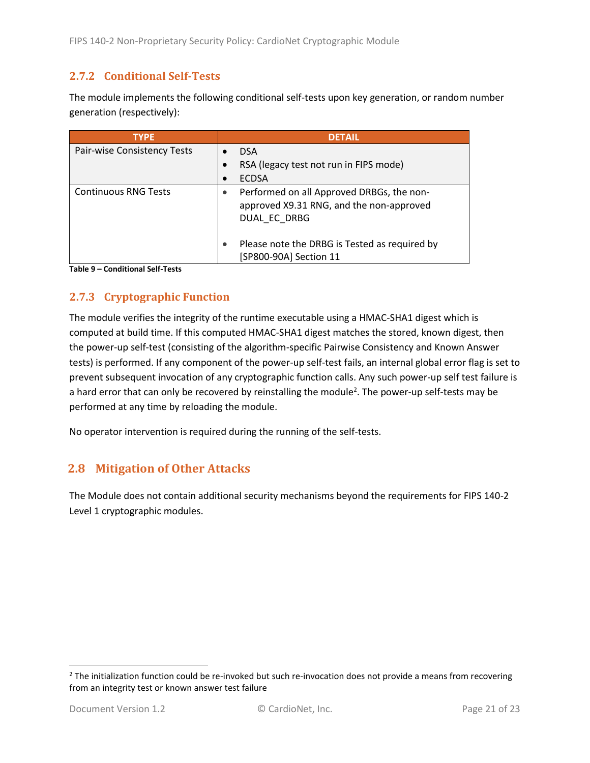#### <span id="page-20-0"></span>**2.7.2 Conditional Self-Tests**

The module implements the following conditional self-tests upon key generation, or random number generation (respectively):

| <b>TYPE</b>                 | <b>DETAIL</b>                                                                                         |
|-----------------------------|-------------------------------------------------------------------------------------------------------|
| Pair-wise Consistency Tests | <b>DSA</b>                                                                                            |
|                             | RSA (legacy test not run in FIPS mode)                                                                |
|                             | <b>ECDSA</b>                                                                                          |
| <b>Continuous RNG Tests</b> | Performed on all Approved DRBGs, the non-<br>approved X9.31 RNG, and the non-approved<br>DUAL EC DRBG |
|                             | Please note the DRBG is Tested as required by<br>[SP800-90A] Section 11                               |

**Table 9 – Conditional Self-Tests**

### <span id="page-20-1"></span>**2.7.3 Cryptographic Function**

The module verifies the integrity of the runtime executable using a HMAC-SHA1 digest which is computed at build time. If this computed HMAC-SHA1 digest matches the stored, known digest, then the power-up self-test (consisting of the algorithm-specific Pairwise Consistency and Known Answer tests) is performed. If any component of the power-up self-test fails, an internal global error flag is set to prevent subsequent invocation of any cryptographic function calls. Any such power-up self test failure is a hard error that can only be recovered by reinstalling the module<sup>2</sup>. The power-up self-tests may be performed at any time by reloading the module.

No operator intervention is required during the running of the self-tests.

### <span id="page-20-2"></span>**2.8 Mitigation of Other Attacks**

The Module does not contain additional security mechanisms beyond the requirements for FIPS 140-2 Level 1 cryptographic modules.

 $2$  The initialization function could be re-invoked but such re-invocation does not provide a means from recovering from an integrity test or known answer test failure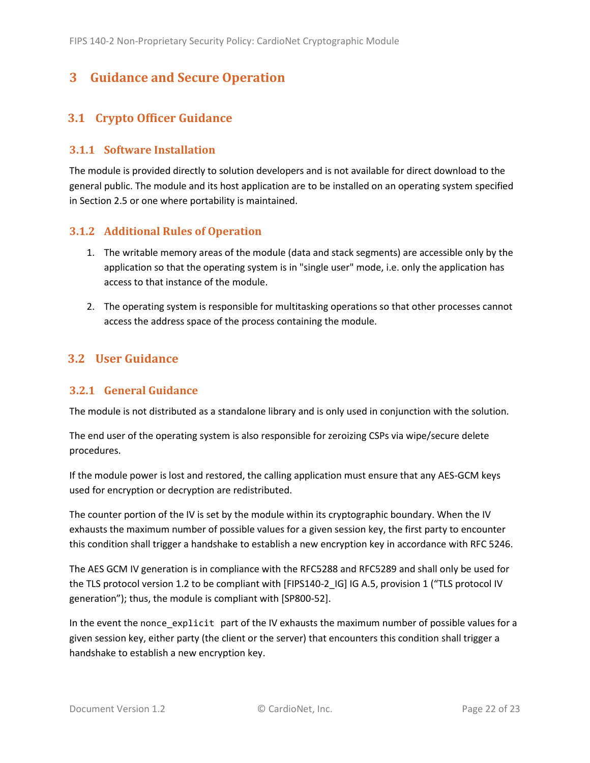## <span id="page-21-0"></span>**3 Guidance and Secure Operation**

## <span id="page-21-1"></span>**3.1 Crypto Officer Guidance**

#### <span id="page-21-2"></span>**3.1.1 Software Installation**

The module is provided directly to solution developers and is not available for direct download to the general public. The module and its host application are to be installed on an operating system specified in Section [2.5](#page-13-2) or one where portability is maintained.

#### <span id="page-21-3"></span>**3.1.2 Additional Rules of Operation**

- 1. The writable memory areas of the module (data and stack segments) are accessible only by the application so that the operating system is in "single user" mode, i.e. only the application has access to that instance of the module.
- 2. The operating system is responsible for multitasking operations so that other processes cannot access the address space of the process containing the module.

## <span id="page-21-4"></span>**3.2 User Guidance**

### <span id="page-21-5"></span>**3.2.1 General Guidance**

The module is not distributed as a standalone library and is only used in conjunction with the solution.

The end user of the operating system is also responsible for zeroizing CSPs via wipe/secure delete procedures.

If the module power is lost and restored, the calling application must ensure that any AES-GCM keys used for encryption or decryption are redistributed.

The counter portion of the IV is set by the module within its cryptographic boundary. When the IV exhausts the maximum number of possible values for a given session key, the first party to encounter this condition shall trigger a handshake to establish a new encryption key in accordance with RFC 5246.

The AES GCM IV generation is in compliance with the RFC5288 and RFC5289 and shall only be used for the TLS protocol version 1.2 to be compliant with [FIPS140-2 IG] IG A.5, provision 1 ("TLS protocol IV generation"); thus, the module is compliant with [SP800-52].

In the event the nonce\_explicit part of the IV exhausts the maximum number of possible values for a given session key, either party (the client or the server) that encounters this condition shall trigger a handshake to establish a new encryption key.